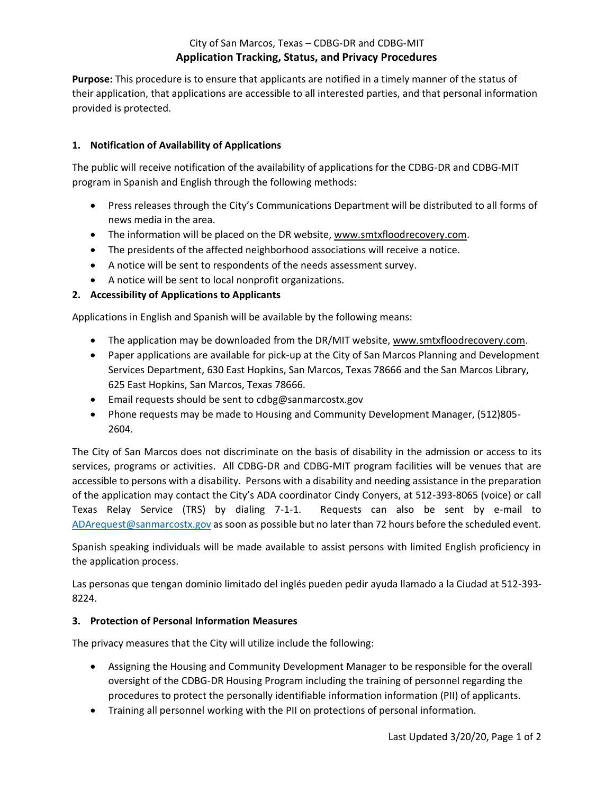# City of San Marcos, Texas – CDBG-DR and CDBG-MIT **Application Tracking, Status, and Privacy Procedures**

**Purpose:** This procedure is to ensure that applicants are notified in a timely manner of the status of their application, that applications are accessible to all interested parties, and that personal information provided is protected.

### **1. Notification of Availability of Applications**

The public will receive notification of the availability of applications for the CDBG-DR and CDBG-MIT program in Spanish and English through the following methods:

- Press releases through the City's Communications Department will be distributed to all forms of news media in the area.
- The information will be placed on the DR website, www.smtxfloodrecovery.com.
- The presidents of the affected neighborhood associations will receive a notice.
- A notice will be sent to respondents of the needs assessment survey.
- A notice will be sent to local nonprofit organizations.

# **2. Accessibility of Applications to Applicants**

Applications in English and Spanish will be available by the following means:

- The application may be downloaded from the DR/MIT website, www.smtxfloodrecovery.com.
- Paper applications are available for pick-up at the City of San Marcos Planning and Development Services Department, 630 East Hopkins, San Marcos, Texas 78666 and the San Marcos Library, 625 East Hopkins, San Marcos, Texas 78666.
- Email requests should be sent to cdbg@sanmarcostx.gov
- Phone requests may be made to Housing and Community Development Manager, (512)805- 2604.

The City of San Marcos does not discriminate on the basis of disability in the admission or access to its services, programs or activities. All CDBG-DR and CDBG-MIT program facilities will be venues that are accessible to persons with a disability. Persons with a disability and needing assistance in the preparation of the application may contact the City's ADA coordinator Cindy Conyers, at 512-393-8065 (voice) or call Texas Relay Service (TRS) by dialing 7-1-1. Requests can also be sent by e-mail to [ADArequest@sanmarcostx.gov](mailto:ADArequest@sanmarcostx.gov) as soon as possible but no later than 72 hours before the scheduled event.

Spanish speaking individuals will be made available to assist persons with limited English proficiency in the application process.

Las personas que tengan dominio limitado del inglés pueden pedir ayuda llamado a la Ciudad at 512-393- 8224.

### **3. Protection of Personal Information Measures**

The privacy measures that the City will utilize include the following:

- Assigning the Housing and Community Development Manager to be responsible for the overall oversight of the CDBG-DR Housing Program including the training of personnel regarding the procedures to protect the personally identifiable information information (PII) of applicants.
- Training all personnel working with the PII on protections of personal information.